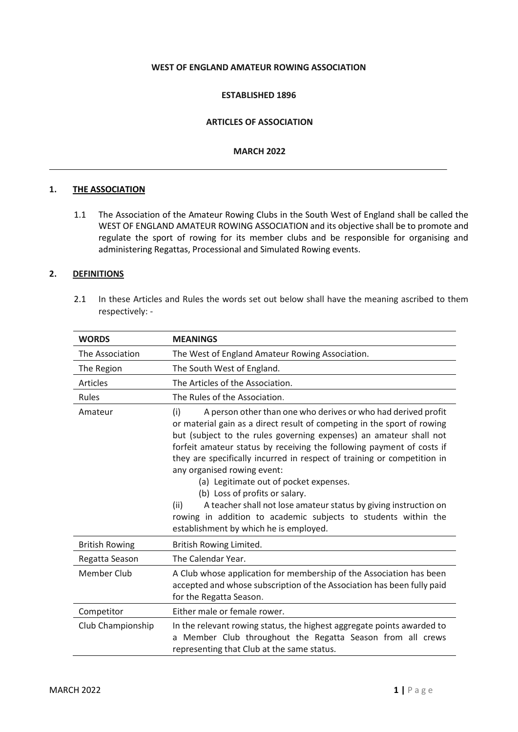#### **WEST OF ENGLAND AMATEUR ROWING ASSOCIATION**

#### **ESTABLISHED 1896**

#### **ARTICLES OF ASSOCIATION**

#### **MARCH 2022**

#### **1. THE ASSOCIATION**

1.1 The Association of the Amateur Rowing Clubs in the South West of England shall be called the WEST OF ENGLAND AMATEUR ROWING ASSOCIATION and its objective shall be to promote and regulate the sport of rowing for its member clubs and be responsible for organising and administering Regattas, Processional and Simulated Rowing events.

## **2. DEFINITIONS**

2.1 In these Articles and Rules the words set out below shall have the meaning ascribed to them respectively: -

| <b>WORDS</b>          | <b>MEANINGS</b>                                                                                                                                                                                                                                                                                                                                                                                                                                                                                                                                                                                                                                                              |
|-----------------------|------------------------------------------------------------------------------------------------------------------------------------------------------------------------------------------------------------------------------------------------------------------------------------------------------------------------------------------------------------------------------------------------------------------------------------------------------------------------------------------------------------------------------------------------------------------------------------------------------------------------------------------------------------------------------|
| The Association       | The West of England Amateur Rowing Association.                                                                                                                                                                                                                                                                                                                                                                                                                                                                                                                                                                                                                              |
| The Region            | The South West of England.                                                                                                                                                                                                                                                                                                                                                                                                                                                                                                                                                                                                                                                   |
| Articles              | The Articles of the Association.                                                                                                                                                                                                                                                                                                                                                                                                                                                                                                                                                                                                                                             |
| Rules                 | The Rules of the Association.                                                                                                                                                                                                                                                                                                                                                                                                                                                                                                                                                                                                                                                |
| Amateur               | A person other than one who derives or who had derived profit<br>(i)<br>or material gain as a direct result of competing in the sport of rowing<br>but (subject to the rules governing expenses) an amateur shall not<br>forfeit amateur status by receiving the following payment of costs if<br>they are specifically incurred in respect of training or competition in<br>any organised rowing event:<br>(a) Legitimate out of pocket expenses.<br>(b) Loss of profits or salary.<br>A teacher shall not lose amateur status by giving instruction on<br>(ii)<br>rowing in addition to academic subjects to students within the<br>establishment by which he is employed. |
| <b>British Rowing</b> | British Rowing Limited.                                                                                                                                                                                                                                                                                                                                                                                                                                                                                                                                                                                                                                                      |
| Regatta Season        | The Calendar Year.                                                                                                                                                                                                                                                                                                                                                                                                                                                                                                                                                                                                                                                           |
| <b>Member Club</b>    | A Club whose application for membership of the Association has been<br>accepted and whose subscription of the Association has been fully paid<br>for the Regatta Season.                                                                                                                                                                                                                                                                                                                                                                                                                                                                                                     |
| Competitor            | Either male or female rower.                                                                                                                                                                                                                                                                                                                                                                                                                                                                                                                                                                                                                                                 |
| Club Championship     | In the relevant rowing status, the highest aggregate points awarded to<br>a Member Club throughout the Regatta Season from all crews<br>representing that Club at the same status.                                                                                                                                                                                                                                                                                                                                                                                                                                                                                           |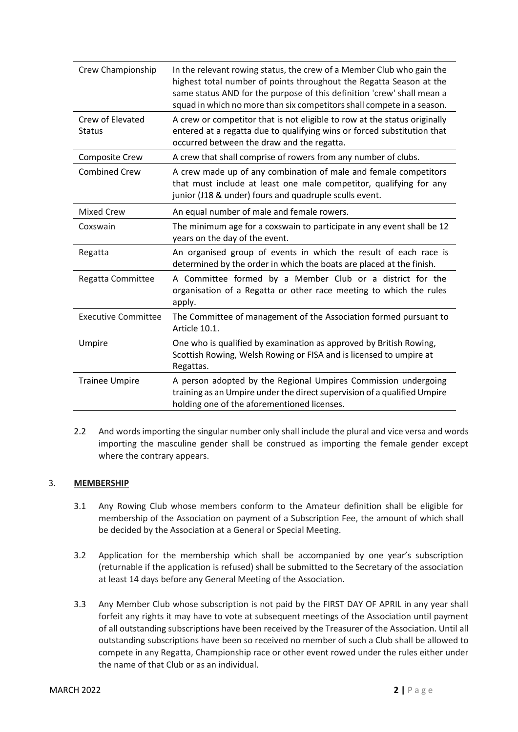| Crew Championship                 | In the relevant rowing status, the crew of a Member Club who gain the<br>highest total number of points throughout the Regatta Season at the<br>same status AND for the purpose of this definition 'crew' shall mean a<br>squad in which no more than six competitors shall compete in a season. |
|-----------------------------------|--------------------------------------------------------------------------------------------------------------------------------------------------------------------------------------------------------------------------------------------------------------------------------------------------|
| Crew of Elevated<br><b>Status</b> | A crew or competitor that is not eligible to row at the status originally<br>entered at a regatta due to qualifying wins or forced substitution that<br>occurred between the draw and the regatta.                                                                                               |
| <b>Composite Crew</b>             | A crew that shall comprise of rowers from any number of clubs.                                                                                                                                                                                                                                   |
| <b>Combined Crew</b>              | A crew made up of any combination of male and female competitors<br>that must include at least one male competitor, qualifying for any<br>junior (J18 & under) fours and quadruple sculls event.                                                                                                 |
| <b>Mixed Crew</b>                 | An equal number of male and female rowers.                                                                                                                                                                                                                                                       |
| Coxswain                          | The minimum age for a coxswain to participate in any event shall be 12<br>years on the day of the event.                                                                                                                                                                                         |
| Regatta                           | An organised group of events in which the result of each race is<br>determined by the order in which the boats are placed at the finish.                                                                                                                                                         |
| Regatta Committee                 | A Committee formed by a Member Club or a district for the<br>organisation of a Regatta or other race meeting to which the rules<br>apply.                                                                                                                                                        |
| <b>Executive Committee</b>        | The Committee of management of the Association formed pursuant to<br>Article 10.1.                                                                                                                                                                                                               |
| Umpire                            | One who is qualified by examination as approved by British Rowing,<br>Scottish Rowing, Welsh Rowing or FISA and is licensed to umpire at<br>Regattas.                                                                                                                                            |
| <b>Trainee Umpire</b>             | A person adopted by the Regional Umpires Commission undergoing<br>training as an Umpire under the direct supervision of a qualified Umpire<br>holding one of the aforementioned licenses.                                                                                                        |

2.2 And words importing the singular number only shall include the plural and vice versa and words importing the masculine gender shall be construed as importing the female gender except where the contrary appears.

## 3. **MEMBERSHIP**

- 3.1 Any Rowing Club whose members conform to the Amateur definition shall be eligible for membership of the Association on payment of a Subscription Fee, the amount of which shall be decided by the Association at a General or Special Meeting.
- 3.2 Application for the membership which shall be accompanied by one year's subscription (returnable if the application is refused) shall be submitted to the Secretary of the association at least 14 days before any General Meeting of the Association.
- 3.3 Any Member Club whose subscription is not paid by the FIRST DAY OF APRIL in any year shall forfeit any rights it may have to vote at subsequent meetings of the Association until payment of all outstanding subscriptions have been received by the Treasurer of the Association. Until all outstanding subscriptions have been so received no member of such a Club shall be allowed to compete in any Regatta, Championship race or other event rowed under the rules either under the name of that Club or as an individual.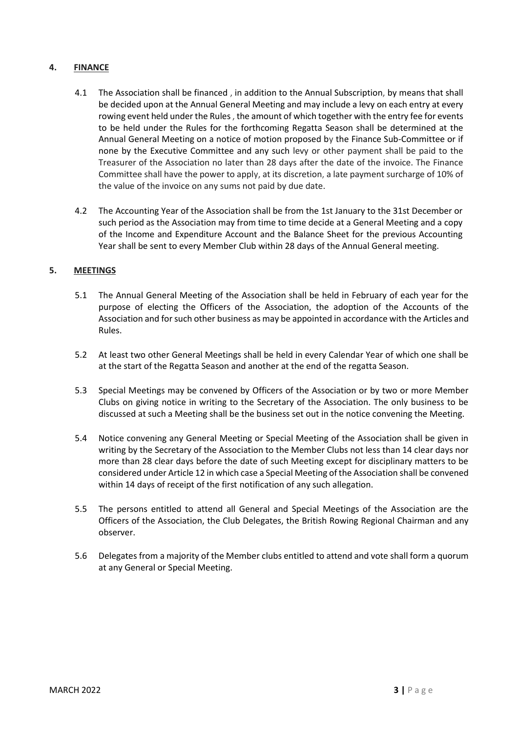## **4. FINANCE**

- 4.1 The Association shall be financed , in addition to the Annual Subscription, by means that shall be decided upon at the Annual General Meeting and may include a levy on each entry at every rowing event held under the Rules , the amount of which together with the entry fee for events to be held under the Rules for the forthcoming Regatta Season shall be determined at the Annual General Meeting on a notice of motion proposed by the Finance Sub-Committee or if none by the Executive Committee and any such levy or other payment shall be paid to the Treasurer of the Association no later than 28 days after the date of the invoice. The Finance Committee shall have the power to apply, at its discretion, a late payment surcharge of 10% of the value of the invoice on any sums not paid by due date.
- 4.2 The Accounting Year of the Association shall be from the 1st January to the 31st December or such period as the Association may from time to time decide at a General Meeting and a copy of the Income and Expenditure Account and the Balance Sheet for the previous Accounting Year shall be sent to every Member Club within 28 days of the Annual General meeting.

## **5. MEETINGS**

- 5.1 The Annual General Meeting of the Association shall be held in February of each year for the purpose of electing the Officers of the Association, the adoption of the Accounts of the Association and for such other business as may be appointed in accordance with the Articles and Rules.
- 5.2 At least two other General Meetings shall be held in every Calendar Year of which one shall be at the start of the Regatta Season and another at the end of the regatta Season.
- 5.3 Special Meetings may be convened by Officers of the Association or by two or more Member Clubs on giving notice in writing to the Secretary of the Association. The only business to be discussed at such a Meeting shall be the business set out in the notice convening the Meeting.
- 5.4 Notice convening any General Meeting or Special Meeting of the Association shall be given in writing by the Secretary of the Association to the Member Clubs not less than 14 clear days nor more than 28 clear days before the date of such Meeting except for disciplinary matters to be considered under Article 12 in which case a Special Meeting of the Association shall be convened within 14 days of receipt of the first notification of any such allegation.
- 5.5 The persons entitled to attend all General and Special Meetings of the Association are the Officers of the Association, the Club Delegates, the British Rowing Regional Chairman and any observer.
- 5.6 Delegates from a majority of the Member clubs entitled to attend and vote shall form a quorum at any General or Special Meeting.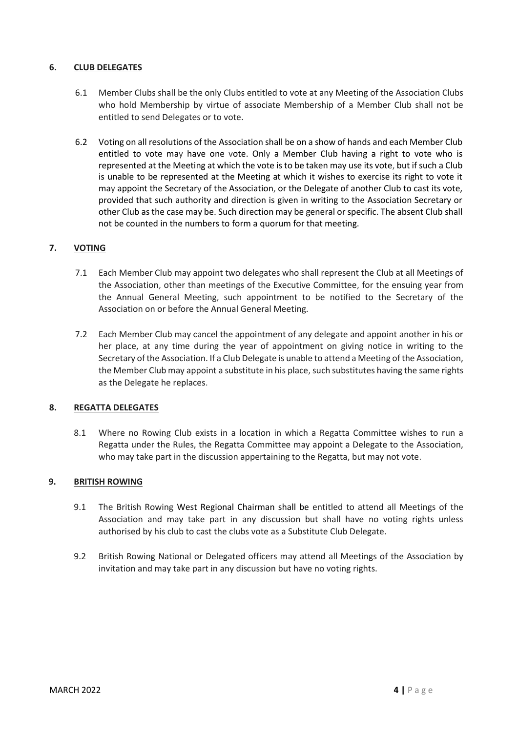## **6. CLUB DELEGATES**

- 6.1 Member Clubs shall be the only Clubs entitled to vote at any Meeting of the Association Clubs who hold Membership by virtue of associate Membership of a Member Club shall not be entitled to send Delegates or to vote.
- 6.2 Voting on all resolutions of the Association shall be on a show of hands and each Member Club entitled to vote may have one vote. Only a Member Club having a right to vote who is represented at the Meeting at which the vote is to be taken may use its vote, but if such a Club is unable to be represented at the Meeting at which it wishes to exercise its right to vote it may appoint the Secretary of the Association, or the Delegate of another Club to cast its vote, provided that such authority and direction is given in writing to the Association Secretary or other Club as the case may be. Such direction may be general or specific. The absent Club shall not be counted in the numbers to form a quorum for that meeting.

# **7. VOTING**

- 7.1 Each Member Club may appoint two delegates who shall represent the Club at all Meetings of the Association, other than meetings of the Executive Committee, for the ensuing year from the Annual General Meeting, such appointment to be notified to the Secretary of the Association on or before the Annual General Meeting.
- 7.2 Each Member Club may cancel the appointment of any delegate and appoint another in his or her place, at any time during the year of appointment on giving notice in writing to the Secretary of the Association. If a Club Delegate is unable to attend a Meeting of the Association, the Member Club may appoint a substitute in his place, such substitutes having the same rights as the Delegate he replaces.

## **8. REGATTA DELEGATES**

8.1 Where no Rowing Club exists in a location in which a Regatta Committee wishes to run a Regatta under the Rules, the Regatta Committee may appoint a Delegate to the Association, who may take part in the discussion appertaining to the Regatta, but may not vote.

## **9. BRITISH ROWING**

- 9.1 The British Rowing West Regional Chairman shall be entitled to attend all Meetings of the Association and may take part in any discussion but shall have no voting rights unless authorised by his club to cast the clubs vote as a Substitute Club Delegate.
- 9.2 British Rowing National or Delegated officers may attend all Meetings of the Association by invitation and may take part in any discussion but have no voting rights.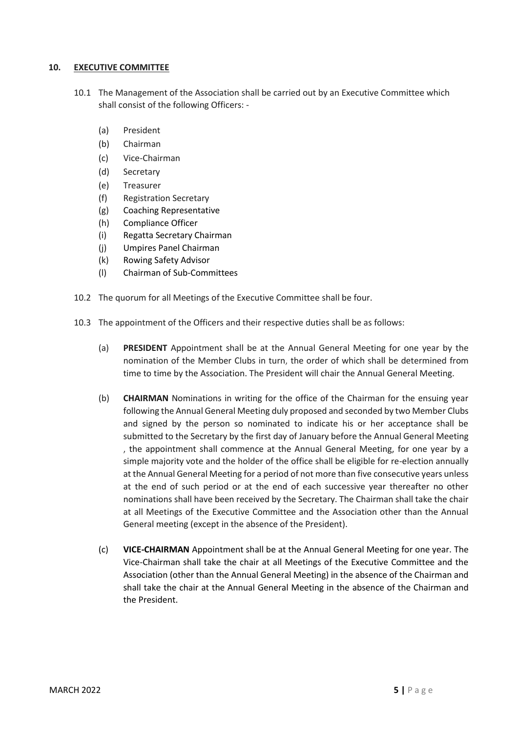## **10. EXECUTIVE COMMITTEE**

- 10.1 The Management of the Association shall be carried out by an Executive Committee which shall consist of the following Officers: -
	- (a) President
	- (b) Chairman
	- (c) Vice-Chairman
	- (d) Secretary
	- (e) Treasurer
	- (f) Registration Secretary
	- (g) Coaching Representative
	- (h) Compliance Officer
	- (i) Regatta Secretary Chairman
	- (j) Umpires Panel Chairman
	- (k) Rowing Safety Advisor
	- (l) Chairman of Sub-Committees
- 10.2 The quorum for all Meetings of the Executive Committee shall be four.
- 10.3 The appointment of the Officers and their respective duties shall be as follows:
	- (a) **PRESIDENT** Appointment shall be at the Annual General Meeting for one year by the nomination of the Member Clubs in turn, the order of which shall be determined from time to time by the Association. The President will chair the Annual General Meeting.
	- (b) **CHAIRMAN** Nominations in writing for the office of the Chairman for the ensuing year following the Annual General Meeting duly proposed and seconded by two Member Clubs and signed by the person so nominated to indicate his or her acceptance shall be submitted to the Secretary by the first day of January before the Annual General Meeting , the appointment shall commence at the Annual General Meeting, for one year by a simple majority vote and the holder of the office shall be eligible for re-election annually at the Annual General Meeting for a period of not more than five consecutive years unless at the end of such period or at the end of each successive year thereafter no other nominations shall have been received by the Secretary. The Chairman shall take the chair at all Meetings of the Executive Committee and the Association other than the Annual General meeting (except in the absence of the President).
	- (c) **VICE-CHAIRMAN** Appointment shall be at the Annual General Meeting for one year. The Vice-Chairman shall take the chair at all Meetings of the Executive Committee and the Association (other than the Annual General Meeting) in the absence of the Chairman and shall take the chair at the Annual General Meeting in the absence of the Chairman and the President.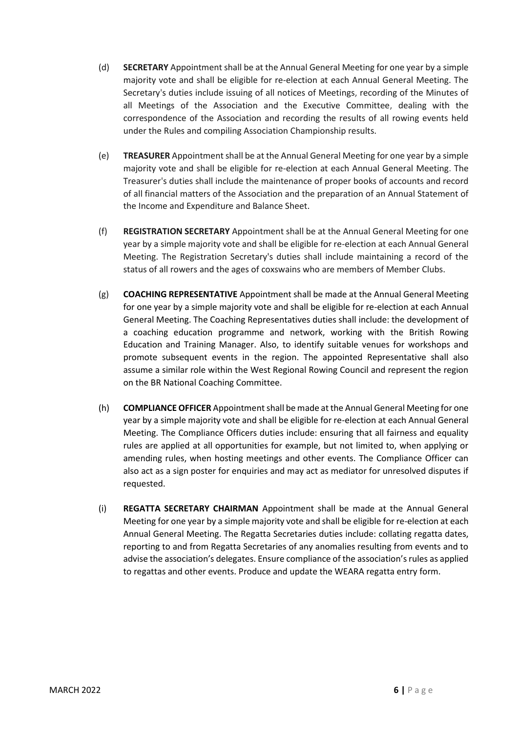- (d) **SECRETARY** Appointment shall be at the Annual General Meeting for one year by a simple majority vote and shall be eligible for re-election at each Annual General Meeting. The Secretary's duties include issuing of all notices of Meetings, recording of the Minutes of all Meetings of the Association and the Executive Committee, dealing with the correspondence of the Association and recording the results of all rowing events held under the Rules and compiling Association Championship results.
- (e) **TREASURER** Appointment shall be at the Annual General Meeting for one year by a simple majority vote and shall be eligible for re-election at each Annual General Meeting. The Treasurer's duties shall include the maintenance of proper books of accounts and record of all financial matters of the Association and the preparation of an Annual Statement of the Income and Expenditure and Balance Sheet.
- (f) **REGISTRATION SECRETARY** Appointment shall be at the Annual General Meeting for one year by a simple majority vote and shall be eligible for re-election at each Annual General Meeting. The Registration Secretary's duties shall include maintaining a record of the status of all rowers and the ages of coxswains who are members of Member Clubs.
- (g) **COACHING REPRESENTATIVE** Appointment shall be made at the Annual General Meeting for one year by a simple majority vote and shall be eligible for re-election at each Annual General Meeting. The Coaching Representatives duties shall include: the development of a coaching education programme and network, working with the British Rowing Education and Training Manager. Also, to identify suitable venues for workshops and promote subsequent events in the region. The appointed Representative shall also assume a similar role within the West Regional Rowing Council and represent the region on the BR National Coaching Committee.
- (h) **COMPLIANCE OFFICER** Appointment shall be made at the Annual General Meeting for one year by a simple majority vote and shall be eligible for re-election at each Annual General Meeting. The Compliance Officers duties include: ensuring that all fairness and equality rules are applied at all opportunities for example, but not limited to, when applying or amending rules, when hosting meetings and other events. The Compliance Officer can also act as a sign poster for enquiries and may act as mediator for unresolved disputes if requested.
- (i) **REGATTA SECRETARY CHAIRMAN** Appointment shall be made at the Annual General Meeting for one year by a simple majority vote and shall be eligible for re-election at each Annual General Meeting. The Regatta Secretaries duties include: collating regatta dates, reporting to and from Regatta Secretaries of any anomalies resulting from events and to advise the association's delegates. Ensure compliance of the association's rules as applied to regattas and other events. Produce and update the WEARA regatta entry form.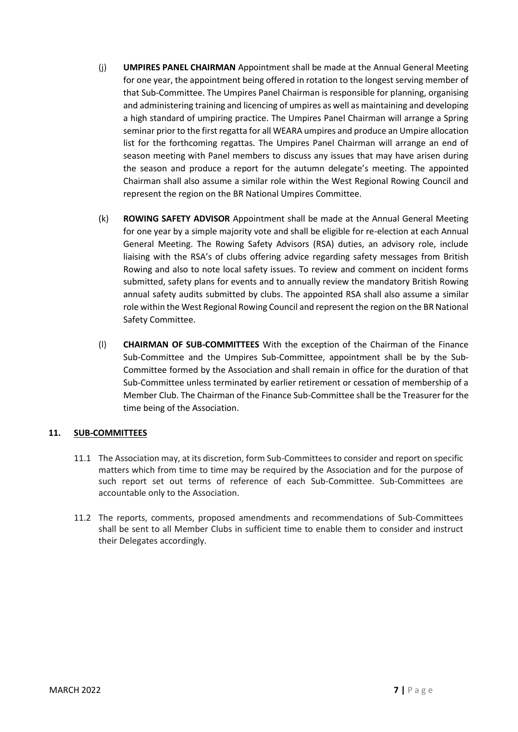- (j) **UMPIRES PANEL CHAIRMAN** Appointment shall be made at the Annual General Meeting for one year, the appointment being offered in rotation to the longest serving member of that Sub-Committee. The Umpires Panel Chairman is responsible for planning, organising and administering training and licencing of umpires as well as maintaining and developing a high standard of umpiring practice. The Umpires Panel Chairman will arrange a Spring seminar prior to the first regatta for all WEARA umpires and produce an Umpire allocation list for the forthcoming regattas. The Umpires Panel Chairman will arrange an end of season meeting with Panel members to discuss any issues that may have arisen during the season and produce a report for the autumn delegate's meeting. The appointed Chairman shall also assume a similar role within the West Regional Rowing Council and represent the region on the BR National Umpires Committee.
- (k) **ROWING SAFETY ADVISOR** Appointment shall be made at the Annual General Meeting for one year by a simple majority vote and shall be eligible for re-election at each Annual General Meeting. The Rowing Safety Advisors (RSA) duties, an advisory role, include liaising with the RSA's of clubs offering advice regarding safety messages from British Rowing and also to note local safety issues. To review and comment on incident forms submitted, safety plans for events and to annually review the mandatory British Rowing annual safety audits submitted by clubs. The appointed RSA shall also assume a similar role within the West Regional Rowing Council and represent the region on the BR National Safety Committee.
- (l) **CHAIRMAN OF SUB-COMMITTEES** With the exception of the Chairman of the Finance Sub-Committee and the Umpires Sub-Committee, appointment shall be by the Sub-Committee formed by the Association and shall remain in office for the duration of that Sub-Committee unless terminated by earlier retirement or cessation of membership of a Member Club. The Chairman of the Finance Sub-Committee shall be the Treasurer for the time being of the Association.

# **11. SUB-COMMITTEES**

- 11.1 The Association may, at its discretion, form Sub-Committees to consider and report on specific matters which from time to time may be required by the Association and for the purpose of such report set out terms of reference of each Sub-Committee. Sub-Committees are accountable only to the Association.
- 11.2 The reports, comments, proposed amendments and recommendations of Sub-Committees shall be sent to all Member Clubs in sufficient time to enable them to consider and instruct their Delegates accordingly.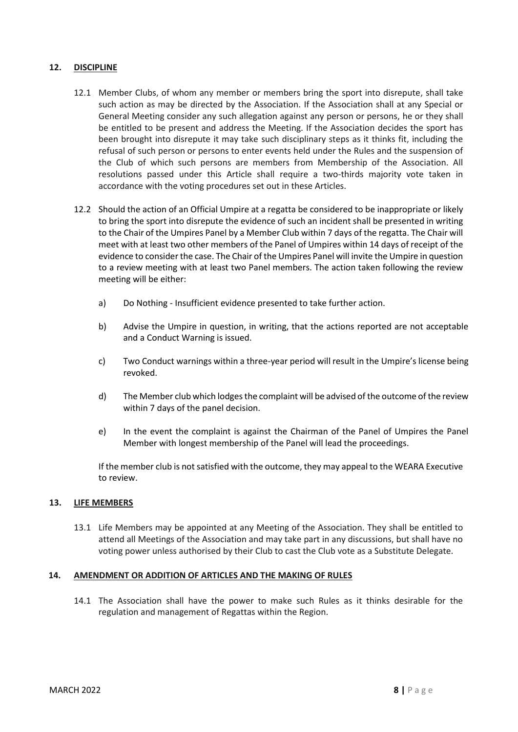## **12. DISCIPLINE**

- 12.1 Member Clubs, of whom any member or members bring the sport into disrepute, shall take such action as may be directed by the Association. If the Association shall at any Special or General Meeting consider any such allegation against any person or persons, he or they shall be entitled to be present and address the Meeting. If the Association decides the sport has been brought into disrepute it may take such disciplinary steps as it thinks fit, including the refusal of such person or persons to enter events held under the Rules and the suspension of the Club of which such persons are members from Membership of the Association. All resolutions passed under this Article shall require a two-thirds majority vote taken in accordance with the voting procedures set out in these Articles.
- 12.2 Should the action of an Official Umpire at a regatta be considered to be inappropriate or likely to bring the sport into disrepute the evidence of such an incident shall be presented in writing to the Chair of the Umpires Panel by a Member Club within 7 days of the regatta. The Chair will meet with at least two other members of the Panel of Umpires within 14 days of receipt of the evidence to consider the case. The Chair of the Umpires Panel will invite the Umpire in question to a review meeting with at least two Panel members. The action taken following the review meeting will be either:
	- a) Do Nothing Insufficient evidence presented to take further action.
	- b) Advise the Umpire in question, in writing, that the actions reported are not acceptable and a Conduct Warning is issued.
	- c) Two Conduct warnings within a three-year period will result in the Umpire's license being revoked.
	- d) The Member club which lodges the complaint will be advised of the outcome of the review within 7 days of the panel decision.
	- e) In the event the complaint is against the Chairman of the Panel of Umpires the Panel Member with longest membership of the Panel will lead the proceedings.

If the member club is not satisfied with the outcome, they may appeal to the WEARA Executive to review.

## **13. LIFE MEMBERS**

13.1 Life Members may be appointed at any Meeting of the Association. They shall be entitled to attend all Meetings of the Association and may take part in any discussions, but shall have no voting power unless authorised by their Club to cast the Club vote as a Substitute Delegate.

## **14. AMENDMENT OR ADDITION OF ARTICLES AND THE MAKING OF RULES**

14.1 The Association shall have the power to make such Rules as it thinks desirable for the regulation and management of Regattas within the Region.